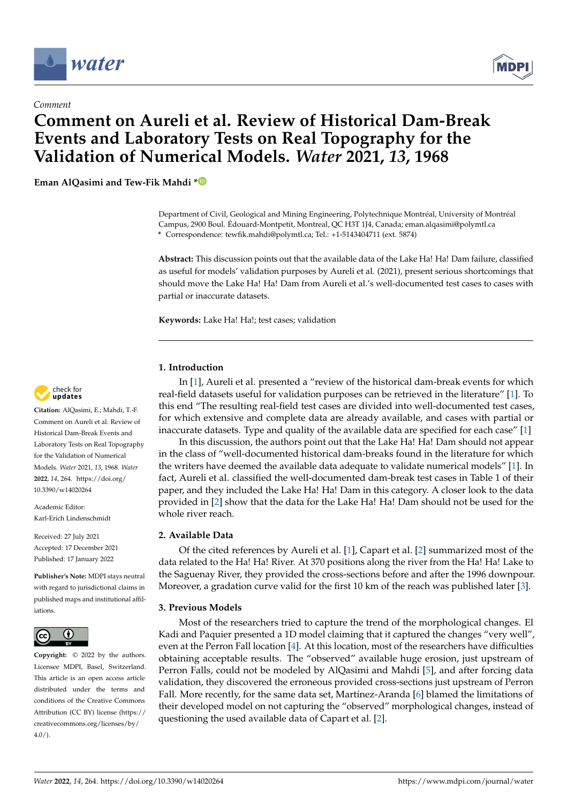

*Comment*



# **Comment on Aureli et al. Review of Historical Dam-Break Events and Laboratory Tests on Real Topography for the Validation of Numerical Models.** *Water* **2021,** *13***, 1968**

**Eman AlQasimi and Tew-Fik Mahdi [\\*](https://orcid.org/0000-0003-2480-0523)**

Department of Civil, Geological and Mining Engineering, Polytechnique Montréal, University of Montréal Campus, 2900 Boul. Édouard-Montpetit, Montreal, QC H3T 1J4, Canada; eman.alqasimi@polymtl.ca **\*** Correspondence: tewfik.mahdi@polymtl.ca; Tel.: +1-5143404711 (ext. 5874)

**Abstract:** This discussion points out that the available data of the Lake Ha! Ha! Dam failure, classified as useful for models' validation purposes by Aureli et al. (2021), present serious shortcomings that should move the Lake Ha! Ha! Dam from Aureli et al.'s well-documented test cases to cases with partial or inaccurate datasets.

**Keywords:** Lake Ha! Ha!; test cases; validation

## **1. Introduction**

In [\[1\]](#page-2-0), Aureli et al. presented a "review of the historical dam-break events for which real-field datasets useful for validation purposes can be retrieved in the literature" [\[1\]](#page-2-0). To this end "The resulting real-field test cases are divided into well-documented test cases, for which extensive and complete data are already available, and cases with partial or inaccurate datasets. Type and quality of the available data are specified for each case" [\[1\]](#page-2-0)

In this discussion, the authors point out that the Lake Ha! Ha! Dam should not appear in the class of "well-documented historical dam-breaks found in the literature for which the writers have deemed the available data adequate to validate numerical models" [\[1\]](#page-2-0). In fact, Aureli et al. classified the well-documented dam-break test cases in Table 1 of their paper, and they included the Lake Ha! Ha! Dam in this category. A closer look to the data provided in [\[2\]](#page-2-1) show that the data for the Lake Ha! Ha! Dam should not be used for the whole river reach.

## **2. Available Data**

Of the cited references by Aureli et al. [\[1\]](#page-2-0), Capart et al. [\[2\]](#page-2-1) summarized most of the data related to the Ha! Ha! River. At 370 positions along the river from the Ha! Ha! Lake to the Saguenay River, they provided the cross-sections before and after the 1996 downpour. Moreover, a gradation curve valid for the first 10 km of the reach was published later [\[3\]](#page-2-2).

#### **3. Previous Models**

Most of the researchers tried to capture the trend of the morphological changes. El Kadi and Paquier presented a 1D model claiming that it captured the changes "very well", even at the Perron Fall location [\[4\]](#page-2-3). At this location, most of the researchers have difficulties obtaining acceptable results. The "observed" available huge erosion, just upstream of Perron Falls, could not be modeled by AlQasimi and Mahdi [\[5\]](#page-2-4), and after forcing data validation, they discovered the erroneous provided cross-sections just upstream of Perron Fall. More recently, for the same data set, Martínez-Aranda [\[6\]](#page-2-5) blamed the limitations of their developed model on not capturing the "observed" morphological changes, instead of questioning the used available data of Capart et al. [\[2\]](#page-2-1).



**Citation:** AlQasimi, E.; Mahdi, T.-F. Comment on Aureli et al. Review of Historical Dam-Break Events and Laboratory Tests on Real Topography for the Validation of Numerical Models. *Water* 2021, *13*, 1968. *Water* **2022**, *14*, 264. [https://doi.org/](https://doi.org/10.3390/w14020264) [10.3390/w14020264](https://doi.org/10.3390/w14020264)

Academic Editor: Karl-Erich Lindenschmidt

Received: 27 July 2021 Accepted: 17 December 2021 Published: 17 January 2022

**Publisher's Note:** MDPI stays neutral with regard to jurisdictional claims in published maps and institutional affiliations.



**Copyright:** © 2022 by the authors. Licensee MDPI, Basel, Switzerland. This article is an open access article distributed under the terms and conditions of the Creative Commons Attribution (CC BY) license [\(https://](https://creativecommons.org/licenses/by/4.0/) [creativecommons.org/licenses/by/](https://creativecommons.org/licenses/by/4.0/) 4.0/).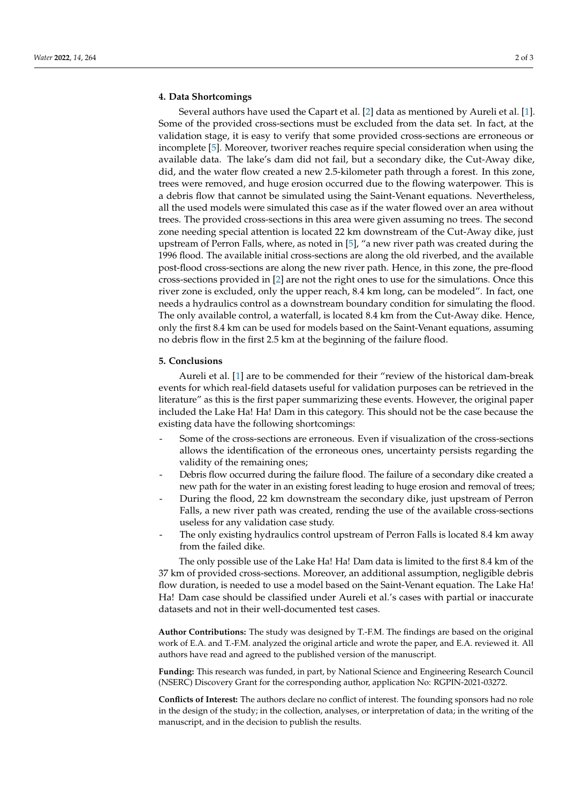### **4. Data Shortcomings**

Several authors have used the Capart et al. [\[2\]](#page-2-1) data as mentioned by Aureli et al. [\[1\]](#page-2-0). Some of the provided cross-sections must be excluded from the data set. In fact, at the validation stage, it is easy to verify that some provided cross-sections are erroneous or incomplete [\[5\]](#page-2-4). Moreover, tworiver reaches require special consideration when using the available data. The lake's dam did not fail, but a secondary dike, the Cut-Away dike, did, and the water flow created a new 2.5-kilometer path through a forest. In this zone, trees were removed, and huge erosion occurred due to the flowing waterpower. This is a debris flow that cannot be simulated using the Saint-Venant equations. Nevertheless, all the used models were simulated this case as if the water flowed over an area without trees. The provided cross-sections in this area were given assuming no trees. The second zone needing special attention is located 22 km downstream of the Cut-Away dike, just upstream of Perron Falls, where, as noted in [\[5\]](#page-2-4), "a new river path was created during the 1996 flood. The available initial cross-sections are along the old riverbed, and the available post-flood cross-sections are along the new river path. Hence, in this zone, the pre-flood cross-sections provided in [\[2\]](#page-2-1) are not the right ones to use for the simulations. Once this river zone is excluded, only the upper reach, 8.4 km long, can be modeled". In fact, one needs a hydraulics control as a downstream boundary condition for simulating the flood. The only available control, a waterfall, is located 8.4 km from the Cut-Away dike. Hence, only the first 8.4 km can be used for models based on the Saint-Venant equations, assuming no debris flow in the first 2.5 km at the beginning of the failure flood.

#### **5. Conclusions**

Aureli et al. [\[1\]](#page-2-0) are to be commended for their "review of the historical dam-break events for which real-field datasets useful for validation purposes can be retrieved in the literature" as this is the first paper summarizing these events. However, the original paper included the Lake Ha! Ha! Dam in this category. This should not be the case because the existing data have the following shortcomings:

- Some of the cross-sections are erroneous. Even if visualization of the cross-sections allows the identification of the erroneous ones, uncertainty persists regarding the validity of the remaining ones;
- Debris flow occurred during the failure flood. The failure of a secondary dike created a new path for the water in an existing forest leading to huge erosion and removal of trees;
- During the flood, 22 km downstream the secondary dike, just upstream of Perron Falls, a new river path was created, rending the use of the available cross-sections useless for any validation case study.
- The only existing hydraulics control upstream of Perron Falls is located 8.4 km away from the failed dike.

The only possible use of the Lake Ha! Ha! Dam data is limited to the first 8.4 km of the 37 km of provided cross-sections. Moreover, an additional assumption, negligible debris flow duration, is needed to use a model based on the Saint-Venant equation. The Lake Ha! Ha! Dam case should be classified under Aureli et al.'s cases with partial or inaccurate datasets and not in their well-documented test cases.

**Author Contributions:** The study was designed by T.-F.M. The findings are based on the original work of E.A. and T.-F.M. analyzed the original article and wrote the paper, and E.A. reviewed it. All authors have read and agreed to the published version of the manuscript.

**Funding:** This research was funded, in part, by National Science and Engineering Research Council (NSERC) Discovery Grant for the corresponding author, application No: RGPIN-2021-03272.

**Conflicts of Interest:** The authors declare no conflict of interest. The founding sponsors had no role in the design of the study; in the collection, analyses, or interpretation of data; in the writing of the manuscript, and in the decision to publish the results.